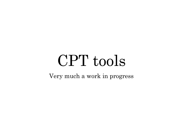# CPT tools

Very much a work in progress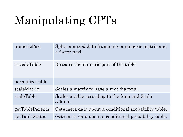## Manipulating CPTs

| numericPart     | Splits a mixed data frame into a numeric matrix and<br>a factor part. |
|-----------------|-----------------------------------------------------------------------|
| rescaleTable    | Rescales the numeric part of the table                                |
| normalizeTable  |                                                                       |
| scaleMatrix     | Scales a matrix to have a unit diagonal                               |
| scaleTable      | Scales a table according to the Sum and Scale<br>column.              |
| getTableParents | Gets meta data about a conditional probability table.                 |
| getTableStates  | Gets meta data about a conditional probability table.                 |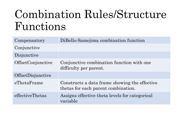#### Combination Rules/Structure Functions

| Compensatory      | DiBello-Samejima combination function                                                |
|-------------------|--------------------------------------------------------------------------------------|
| Conjunctive       |                                                                                      |
| Disjunctive       |                                                                                      |
| OffsetConjunctive | Conjunctive combination function with one<br>difficulty per parent.                  |
| OffsetDisjunctive |                                                                                      |
| eThetaFrame       | Constructs a data frame showing the effective<br>thetas for each parent combination. |
| effectiveThetas   | Assigns effective theta levels for categorical<br>variable                           |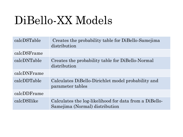### DiBello-XX Models

| calcDSTable | Creates the probability table for DiBello-Samejima<br>distribution                       |
|-------------|------------------------------------------------------------------------------------------|
| calcDSFrame |                                                                                          |
| calcDNTable | Creates the probability table for DiBello-Normal<br>distribution                         |
| calcDNFrame |                                                                                          |
| calcDDTable | Calculates DiBello-Dirichlet model probability and<br>parameter tables                   |
| calcDDFrame |                                                                                          |
| calcDSllike | Calculates the log-likelihood for data from a DiBello-<br>Samejima (Normal) distribution |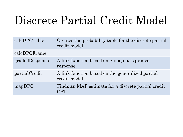## Discrete Partial Credit Model

| calcDPCTable   | Creates the probability table for the discrete partial<br>credit model |
|----------------|------------------------------------------------------------------------|
| calcDPCFrame   |                                                                        |
| gradedResponse | A link function based on Samejima's graded<br>response                 |
| partialCredit  | A link function based on the generalized partial<br>credit model       |
| mapDPC         | Finds an MAP estimate for a discrete partial credit<br>CPT             |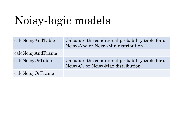## Noisy-logic models

| calcNoisyAndTable | Calculate the conditional probability table for a<br>Noisy-And or Noisy-Min distribution |
|-------------------|------------------------------------------------------------------------------------------|
| calcNoisyAndFrame |                                                                                          |
| calcNoisyOrTable  | Calculate the conditional probability table for a<br>Noisy-Or or Noisy-Max distribution  |
| calcNoisyOrFrame  |                                                                                          |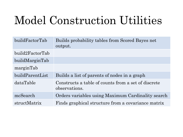#### Model Construction Utilities

| build Factor Tab | Builds probability tables from Scored Bayes net<br>output.           |
|------------------|----------------------------------------------------------------------|
| build2FactorTab  |                                                                      |
| buildMarginTab   |                                                                      |
| marginTab        |                                                                      |
| buildParentList  | Builds a list of parents of nodes in a graph                         |
| dataTable        | Constructs a table of counts from a set of discrete<br>observations. |
| mcSearch         | Orders variables using Maximum Cardinality search                    |
| structMatrix     | Finds graphical structure from a covariance matrix                   |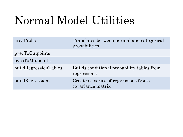## Normal Model Utilities

| areaProbs             | Translates between normal and categorical<br>probabilities  |
|-----------------------|-------------------------------------------------------------|
| pvecToCutpoints       |                                                             |
| pvecToMidpoints       |                                                             |
| buildRegressionTables | Builds conditional probability tables from<br>regressions   |
| buildRegressions      | Creates a series of regressions from a<br>covariance matrix |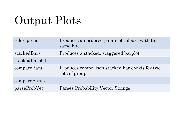## Output Plots

| colorspread    | Produces an ordered palate of colours with the<br>same hue.      |
|----------------|------------------------------------------------------------------|
| stackedBars    | Produces a stacked, staggered barplot                            |
| stackedBarplot |                                                                  |
| compareBars    | Produces comparison stacked bar charts for two<br>sets of groups |
| compareBars2   |                                                                  |
| parseProbVec   | Parses Probability Vector Strings                                |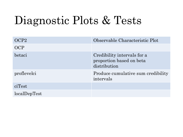### Diagnostic Plots & Tests

| OCP <sub>2</sub> | Observable Characteristic Plot                                          |
|------------------|-------------------------------------------------------------------------|
| <b>OCP</b>       |                                                                         |
| betaci           | Credibility intervals for a<br>proportion based on beta<br>distribution |
| proflevelci      | Produce cumulative sum credibility<br>intervals                         |
| ciTest           |                                                                         |
| localDepTest     |                                                                         |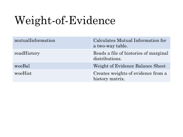## Weight-of-Evidence

| mutualInformation | Calculates Mutual Information for<br>a two-way table.   |
|-------------------|---------------------------------------------------------|
| readHistory       | Reads a file of histories of marginal<br>distributions. |
| woeBal            | Weight of Evidence Balance Sheet                        |
| woeHist           | Creates weights of evidence from a<br>history matrix.   |